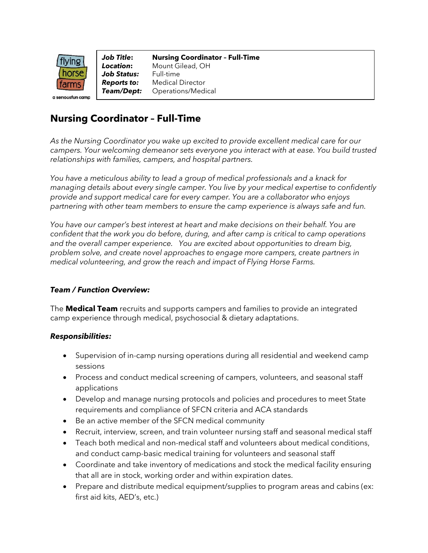

*Job Title***: Nursing Coordinator – Full-Time** *Location***:** Mount Gilead, OH *Job Status:* Full-time *Reports to:* Medical Director *Team/Dept:* Operations/Medical

# **Nursing Coordinator – Full-Time**

*As the Nursing Coordinator you wake up excited to provide excellent medical care for our campers. Your welcoming demeanor sets everyone you interact with at ease. You build trusted relationships with families, campers, and hospital partners.* 

*You have a meticulous ability to lead a group of medical professionals and a knack for managing details about every single camper. You live by your medical expertise to confidently provide and support medical care for every camper. You are a collaborator who enjoys partnering with other team members to ensure the camp experience is always safe and fun.*

*You have our camper's best interest at heart and make decisions on their behalf. You are confident that the work you do before, during, and after camp is critical to camp operations and the overall camper experience. You are excited about opportunities to dream big, problem solve, and create novel approaches to engage more campers, create partners in medical volunteering, and grow the reach and impact of Flying Horse Farms.*

#### *Team / Function Overview:*

The **Medical Team** recruits and supports campers and families to provide an integrated camp experience through medical, psychosocial & dietary adaptations.

#### *Responsibilities:*

- Supervision of in-camp nursing operations during all residential and weekend camp sessions
- Process and conduct medical screening of campers, volunteers, and seasonal staff applications
- Develop and manage nursing protocols and policies and procedures to meet State requirements and compliance of SFCN criteria and ACA standards
- Be an active member of the SFCN medical community
- Recruit, interview, screen, and train volunteer nursing staff and seasonal medical staff
- Teach both medical and non-medical staff and volunteers about medical conditions, and conduct camp-basic medical training for volunteers and seasonal staff
- Coordinate and take inventory of medications and stock the medical facility ensuring that all are in stock, working order and within expiration dates.
- Prepare and distribute medical equipment/supplies to program areas and cabins (ex: first aid kits, AED's, etc.)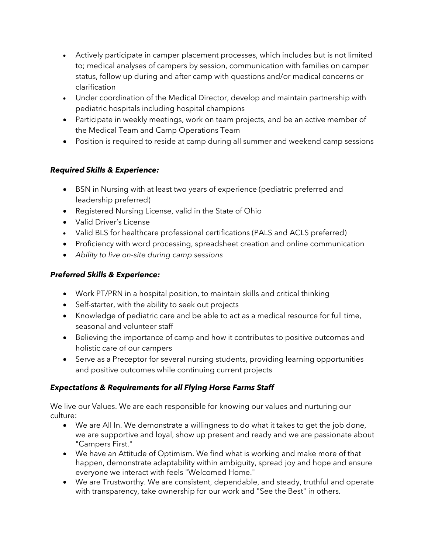- Actively participate in camper placement processes, which includes but is not limited to; medical analyses of campers by session, communication with families on camper status, follow up during and after camp with questions and/or medical concerns or clarification
- Under coordination of the Medical Director, develop and maintain partnership with pediatric hospitals including hospital champions
- Participate in weekly meetings, work on team projects, and be an active member of the Medical Team and Camp Operations Team
- Position is required to reside at camp during all summer and weekend camp sessions

### *Required Skills & Experience:*

- BSN in Nursing with at least two years of experience (pediatric preferred and leadership preferred)
- Registered Nursing License, valid in the State of Ohio
- Valid Driver's License
- Valid BLS for healthcare professional certifications (PALS and ACLS preferred)
- Proficiency with word processing, spreadsheet creation and online communication
- *Ability to live on-site during camp sessions*

## *Preferred Skills & Experience:*

- Work PT/PRN in a hospital position, to maintain skills and critical thinking
- Self-starter, with the ability to seek out projects
- Knowledge of pediatric care and be able to act as a medical resource for full time, seasonal and volunteer staff
- Believing the importance of camp and how it contributes to positive outcomes and holistic care of our campers
- Serve as a Preceptor for several nursing students, providing learning opportunities and positive outcomes while continuing current projects

# *Expectations & Requirements for all Flying Horse Farms Staff*

We live our Values. We are each responsible for knowing our values and nurturing our culture:

- We are All In. We demonstrate a willingness to do what it takes to get the job done, we are supportive and loyal, show up present and ready and we are passionate about "Campers First."
- We have an Attitude of Optimism. We find what is working and make more of that happen, demonstrate adaptability within ambiguity, spread joy and hope and ensure everyone we interact with feels "Welcomed Home."
- We are Trustworthy. We are consistent, dependable, and steady, truthful and operate with transparency, take ownership for our work and "See the Best" in others.